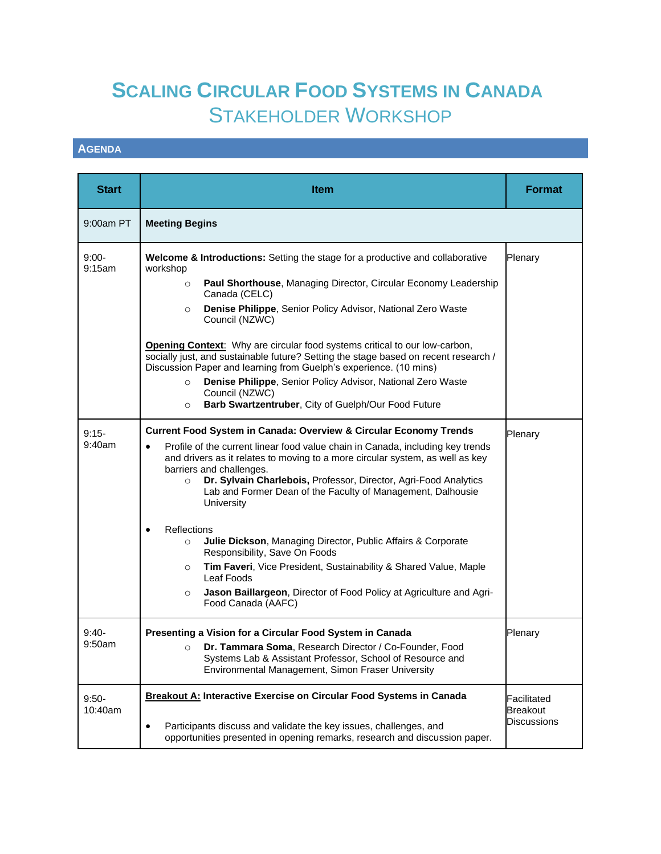## **SCALING CIRCULAR FOOD SYSTEMS IN CANADA** STAKEHOLDER WORKSHOP

## **AGENDA**

| <b>Start</b>       | <b>Item</b>                                                                                                                                                                                                                                                                                                                                                                                                                                                                                                                                                                                                                                                                                                                                                                                       | <b>Format</b>                                        |
|--------------------|---------------------------------------------------------------------------------------------------------------------------------------------------------------------------------------------------------------------------------------------------------------------------------------------------------------------------------------------------------------------------------------------------------------------------------------------------------------------------------------------------------------------------------------------------------------------------------------------------------------------------------------------------------------------------------------------------------------------------------------------------------------------------------------------------|------------------------------------------------------|
| 9:00am PT          | <b>Meeting Begins</b>                                                                                                                                                                                                                                                                                                                                                                                                                                                                                                                                                                                                                                                                                                                                                                             |                                                      |
| $9:00-$<br>9:15am  | Welcome & Introductions: Setting the stage for a productive and collaborative<br>workshop<br>Paul Shorthouse, Managing Director, Circular Economy Leadership<br>$\circ$<br>Canada (CELC)<br>Denise Philippe, Senior Policy Advisor, National Zero Waste<br>$\circ$<br>Council (NZWC)<br>Opening Context: Why are circular food systems critical to our low-carbon,<br>socially just, and sustainable future? Setting the stage based on recent research /<br>Discussion Paper and learning from Guelph's experience. (10 mins)<br>Denise Philippe, Senior Policy Advisor, National Zero Waste<br>$\circ$<br>Council (NZWC)<br>Barb Swartzentruber, City of Guelph/Our Food Future<br>$\circ$                                                                                                      | Plenary                                              |
| $9:15-$<br>9:40am  | <b>Current Food System in Canada: Overview &amp; Circular Economy Trends</b><br>Profile of the current linear food value chain in Canada, including key trends<br>$\bullet$<br>and drivers as it relates to moving to a more circular system, as well as key<br>barriers and challenges.<br>Dr. Sylvain Charlebois, Professor, Director, Agri-Food Analytics<br>$\circ$<br>Lab and Former Dean of the Faculty of Management, Dalhousie<br>University<br>Reflections<br>$\bullet$<br>Julie Dickson, Managing Director, Public Affairs & Corporate<br>$\circ$<br>Responsibility, Save On Foods<br>Tim Faveri, Vice President, Sustainability & Shared Value, Maple<br>$\circ$<br>Leaf Foods<br>Jason Baillargeon, Director of Food Policy at Agriculture and Agri-<br>$\circ$<br>Food Canada (AAFC) | Plenary                                              |
| $9:40-$<br>9:50am  | Presenting a Vision for a Circular Food System in Canada<br>Dr. Tammara Soma, Research Director / Co-Founder, Food<br>$\circ$<br>Systems Lab & Assistant Professor, School of Resource and<br>Environmental Management, Simon Fraser University                                                                                                                                                                                                                                                                                                                                                                                                                                                                                                                                                   | Plenary                                              |
| $9:50-$<br>10:40am | Breakout A: Interactive Exercise on Circular Food Systems in Canada<br>Participants discuss and validate the key issues, challenges, and<br>$\bullet$<br>opportunities presented in opening remarks, research and discussion paper.                                                                                                                                                                                                                                                                                                                                                                                                                                                                                                                                                               | Facilitated<br><b>Breakout</b><br><b>Discussions</b> |